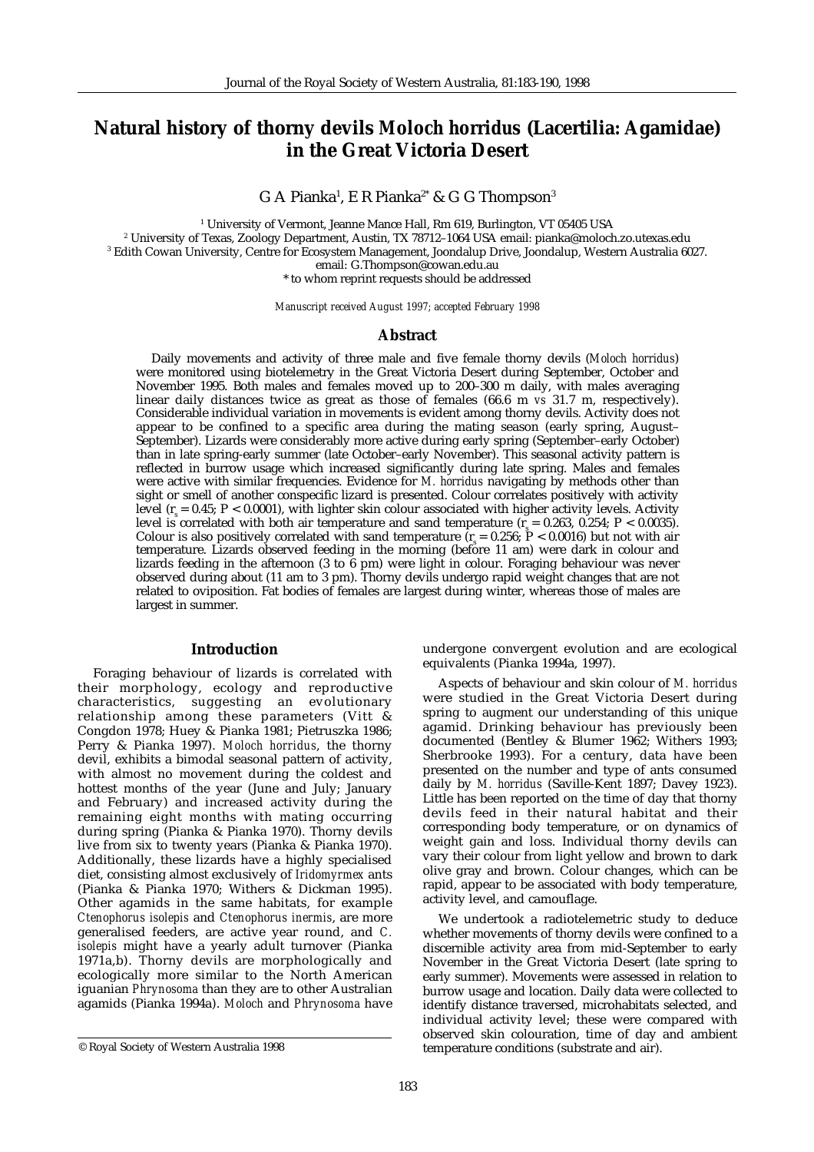# **Natural history of thorny devils** *Moloch horridus* **(Lacertilia: Agamidae) in the Great Victoria Desert**

G A Pianka½, E R Pianka $^{2^*}$  & G G Thompson $^3$ 

1 University of Vermont, Jeanne Mance Hall, Rm 619, Burlington, VT 05405 USA 2 University of Texas, Zoology Department, Austin, TX 78712–1064 USA email: pianka@moloch.zo.utexas.edu 3 Edith Cowan University, Centre for Ecosystem Management, Joondalup Drive, Joondalup, Western Australia 6027. email: G.Thompson@cowan.edu.au \* to whom reprint requests should be addressed

*Manuscript received August 1997; accepted February 1998*

# **Abstract**

Daily movements and activity of three male and five female thorny devils (*Moloch horridus*) were monitored using biotelemetry in the Great Victoria Desert during September, October and November 1995. Both males and females moved up to 200–300 m daily, with males averaging linear daily distances twice as great as those of females (66.6 m *vs* 31.7 m, respectively). Considerable individual variation in movements is evident among thorny devils. Activity does not appear to be confined to a specific area during the mating season (early spring, August– September). Lizards were considerably more active during early spring (September–early October) than in late spring-early summer (late October–early November). This seasonal activity pattern is reflected in burrow usage which increased significantly during late spring. Males and females were active with similar frequencies. Evidence for *M. horridus* navigating by methods other than sight or smell of another conspecific lizard is presented. Colour correlates positively with activity level  $(r_s = 0.45; P < 0.0001)$ , with lighter skin colour associated with higher activity levels. Activity level is correlated with both air temperature and sand temperature  $(r_s = 0.263, 0.254; P < 0.0035)$ . Colour is also positively correlated with sand temperature  $(r<sub>s</sub> = 0.256; P < 0.0016)$  but not with air temperature. Lizards observed feeding in the morning (before 11 am) were dark in colour and lizards feeding in the afternoon (3 to 6 pm) were light in colour. Foraging behaviour was never observed during about (11 am to 3 pm). Thorny devils undergo rapid weight changes that are not related to oviposition. Fat bodies of females are largest during winter, whereas those of males are largest in summer.

# **Introduction**

Foraging behaviour of lizards is correlated with their morphology, ecology and reproductive characteristics, suggesting an evolutionary relationship among these parameters (Vitt & Congdon 1978; Huey & Pianka 1981; Pietruszka 1986; Perry & Pianka 1997). *Moloch horridus*, the thorny devil, exhibits a bimodal seasonal pattern of activity, with almost no movement during the coldest and hottest months of the year (June and July; January and February) and increased activity during the remaining eight months with mating occurring during spring (Pianka & Pianka 1970). Thorny devils live from six to twenty years (Pianka & Pianka 1970). Additionally, these lizards have a highly specialised diet, consisting almost exclusively of *Iridomyrmex* ants (Pianka & Pianka 1970; Withers & Dickman 1995). Other agamids in the same habitats, for example *Ctenophorus isolepis* and *Ctenophorus inermis*, are more generalised feeders, are active year round, and *C. isolepis* might have a yearly adult turnover (Pianka 1971a,b). Thorny devils are morphologically and ecologically more similar to the North American iguanian *Phrynosoma* than they are to other Australian agamids (Pianka 1994a). *Moloch* and *Phrynosoma* have undergone convergent evolution and are ecological equivalents (Pianka 1994a, 1997).

Aspects of behaviour and skin colour of *M. horridus* were studied in the Great Victoria Desert during spring to augment our understanding of this unique agamid. Drinking behaviour has previously been documented (Bentley & Blumer 1962; Withers 1993; Sherbrooke 1993). For a century, data have been presented on the number and type of ants consumed daily by *M. horridus* (Saville-Kent 1897; Davey 1923). Little has been reported on the time of day that thorny devils feed in their natural habitat and their corresponding body temperature, or on dynamics of weight gain and loss. Individual thorny devils can vary their colour from light yellow and brown to dark olive gray and brown. Colour changes, which can be rapid, appear to be associated with body temperature, activity level, and camouflage.

We undertook a radiotelemetric study to deduce whether movements of thorny devils were confined to a discernible activity area from mid-September to early November in the Great Victoria Desert (late spring to early summer). Movements were assessed in relation to burrow usage and location. Daily data were collected to identify distance traversed, microhabitats selected, and individual activity level; these were compared with observed skin colouration, time of day and ambient © Royal Society of Western Australia 1998 temperature conditions (substrate and air).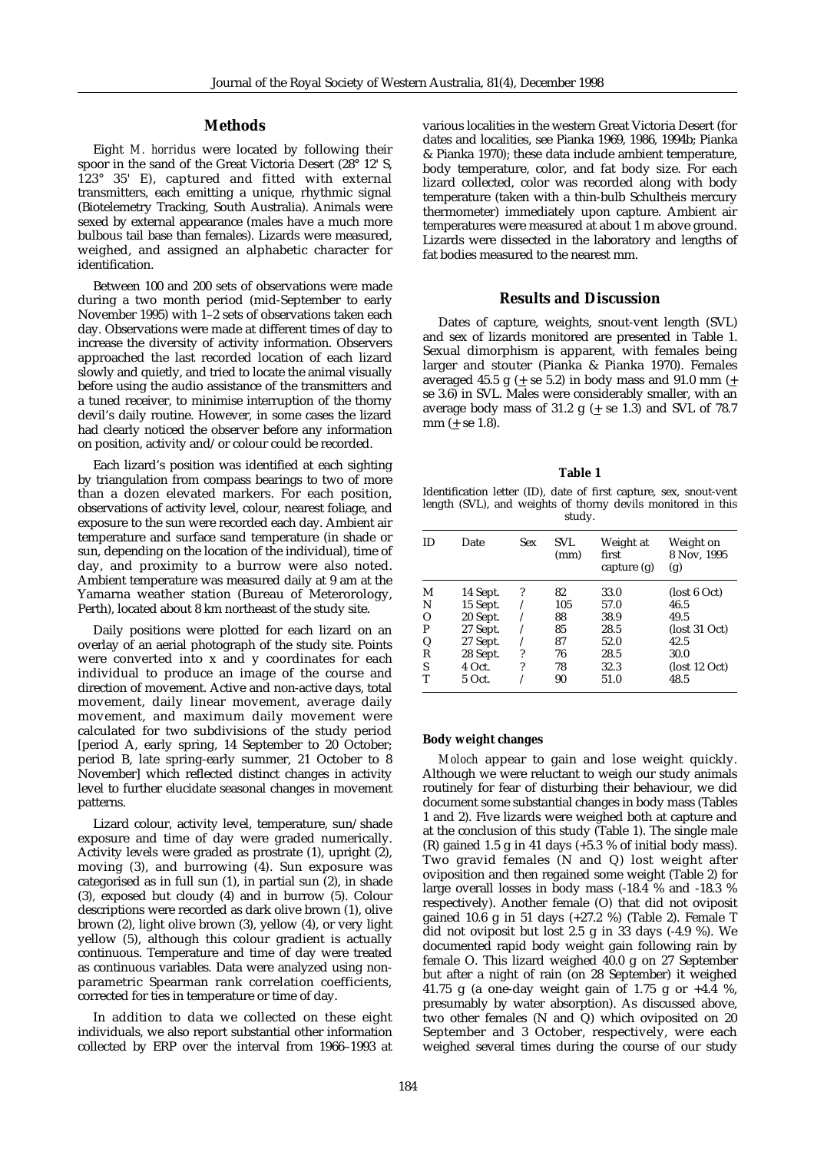# **Methods**

Eight *M. horridus* were located by following their spoor in the sand of the Great Victoria Desert (28° 12' S, 123° 35' E), captured and fitted with external transmitters, each emitting a unique, rhythmic signal (Biotelemetry Tracking, South Australia). Animals were sexed by external appearance (males have a much more bulbous tail base than females). Lizards were measured, weighed, and assigned an alphabetic character for identification.

Between 100 and 200 sets of observations were made during a two month period (mid-September to early November 1995) with 1–2 sets of observations taken each day. Observations were made at different times of day to increase the diversity of activity information. Observers approached the last recorded location of each lizard slowly and quietly, and tried to locate the animal visually before using the audio assistance of the transmitters and a tuned receiver, to minimise interruption of the thorny devil's daily routine. However, in some cases the lizard had clearly noticed the observer before any information on position, activity and/or colour could be recorded.

Each lizard's position was identified at each sighting by triangulation from compass bearings to two of more than a dozen elevated markers. For each position, observations of activity level, colour, nearest foliage, and exposure to the sun were recorded each day. Ambient air temperature and surface sand temperature (in shade or sun, depending on the location of the individual), time of day, and proximity to a burrow were also noted. Ambient temperature was measured daily at 9 am at the Yamarna weather station (Bureau of Meterorology, Perth), located about 8 km northeast of the study site.

Daily positions were plotted for each lizard on an overlay of an aerial photograph of the study site. Points were converted into x and y coordinates for each individual to produce an image of the course and direction of movement. Active and non-active days, total movement, daily linear movement, average daily movement, and maximum daily movement were calculated for two subdivisions of the study period [period A, early spring, 14 September to 20 October; period B, late spring-early summer, 21 October to 8 November] which reflected distinct changes in activity level to further elucidate seasonal changes in movement patterns.

Lizard colour, activity level, temperature, sun/shade exposure and time of day were graded numerically. Activity levels were graded as prostrate (1), upright (2), moving (3), and burrowing (4). Sun exposure was categorised as in full sun (1), in partial sun (2), in shade (3), exposed but cloudy (4) and in burrow (5). Colour descriptions were recorded as dark olive brown (1), olive brown (2), light olive brown (3), yellow (4), or very light yellow (5), although this colour gradient is actually continuous. Temperature and time of day were treated as continuous variables. Data were analyzed using nonparametric Spearman rank correlation coefficients, corrected for ties in temperature or time of day.

In addition to data we collected on these eight individuals, we also report substantial other information collected by ERP over the interval from 1966–1993 at various localities in the western Great Victoria Desert (for dates and localities, see Pianka 1969, 1986, 1994b; Pianka & Pianka 1970); these data include ambient temperature, body temperature, color, and fat body size. For each lizard collected, color was recorded along with body temperature (taken with a thin-bulb Schultheis mercury thermometer) immediately upon capture. Ambient air temperatures were measured at about 1 m above ground. Lizards were dissected in the laboratory and lengths of fat bodies measured to the nearest mm.

# **Results and Discussion**

Dates of capture, weights, snout-vent length (SVL) and sex of lizards monitored are presented in Table 1. Sexual dimorphism is apparent, with females being larger and stouter (Pianka & Pianka 1970). Females averaged 45.5 g ( $\pm$  se 5.2) in body mass and 91.0 mm ( $\pm$ se 3.6) in SVL. Males were considerably smaller, with an average body mass of 31.2 g  $(+$  se 1.3) and SVL of 78.7 mm  $(\pm$  se 1.8).

#### **Table 1**

Identification letter (ID), date of first capture, sex, snout-vent length (SVL), and weights of thorny devils monitored in this study.

| ID | Date     | Sex | SVL<br>(mm) | Weight at<br>first<br>capture (g) | Weight on<br>8 Nov, 1995<br>(g) |
|----|----------|-----|-------------|-----------------------------------|---------------------------------|
| М  | 14 Sept. | ?   | 82          | 33.0                              | (lost 6 Oct)                    |
| N  | 15 Sept. |     | 105         | 57.0                              | 46.5                            |
| Ω  | 20 Sept. |     | 88          | 38.9                              | 49.5                            |
| P  | 27 Sept. |     | 85          | 28.5                              | (lost 31 Oct)                   |
| Q  | 27 Sept. |     | 87          | 52.0                              | 42.5                            |
| R  | 28 Sept. | ?   | 76          | 28.5                              | 30.0                            |
| S  | 4 Oct.   | ?   | 78          | 32.3                              | (lost 12 Oct)                   |
| т  | 5 Oct.   |     | 90          | 51.0                              | 48.5                            |
|    |          |     |             |                                   |                                 |

# **Body weight changes**

*Moloch* appear to gain and lose weight quickly. Although we were reluctant to weigh our study animals routinely for fear of disturbing their behaviour, we did document some substantial changes in body mass (Tables 1 and 2). Five lizards were weighed both at capture and at the conclusion of this study (Table 1). The single male (R) gained 1.5 g in 41 days  $(+5.3 %$  of initial body mass). Two gravid females (N and Q) lost weight after oviposition and then regained some weight (Table 2) for large overall losses in body mass (-18.4 % and -18.3 % respectively). Another female (O) that did not oviposit gained 10.6 g in 51 days (+27.2 %) (Table 2). Female T did not oviposit but lost 2.5 g in 33 days (-4.9 %). We documented rapid body weight gain following rain by female O. This lizard weighed 40.0 g on 27 September but after a night of rain (on 28 September) it weighed 41.75 g (a one-day weight gain of 1.75 g or  $+4.4$  %, presumably by water absorption). As discussed above, two other females (N and Q) which oviposited on 20 September and 3 October, respectively, were each weighed several times during the course of our study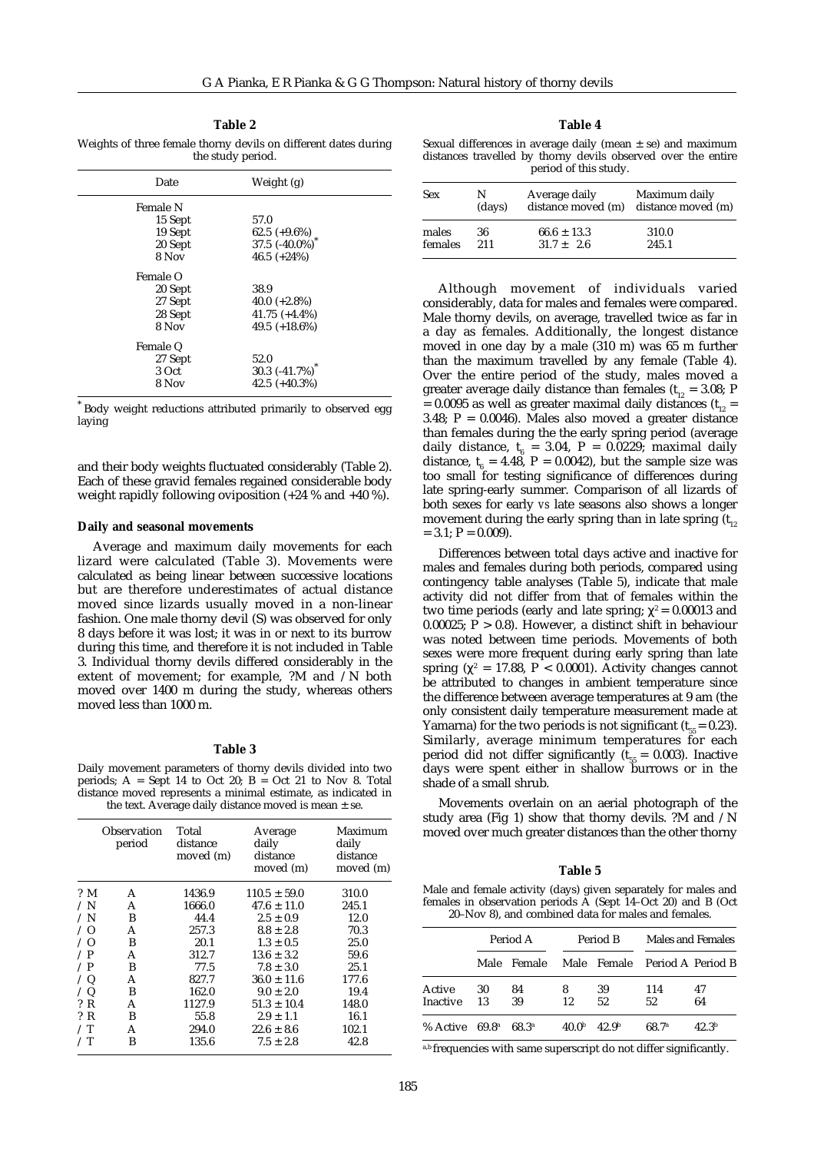**Table 2**

Weights of three female thorny devils on different dates during the study period.

| Date     | Weight (g)         |  |
|----------|--------------------|--|
| Female N |                    |  |
| 15 Sept  | 57.0               |  |
| 19 Sept  | 62.5 (+9.6%)       |  |
| 20 Sept  | 37.5 (-40.0%)      |  |
| 8 Nov    | 46.5 $(+24%)$      |  |
| Female O |                    |  |
| 20 Sept  | 38.9               |  |
| 27 Sept  | 40.0 $(+2.8\%)$    |  |
| 28 Sept  | $41.75 (+4.4%)$    |  |
| 8 Nov    | 49.5 $(+18.6\%)$   |  |
| Female Q |                    |  |
| 27 Sept  | 52.0               |  |
| 3 Oct    | $30.3$ $(-41.7\%)$ |  |
| 8 Nov    | $42.5 (+40.3%)$    |  |

\* Body weight reductions attributed primarily to observed egg laying

and their body weights fluctuated considerably (Table 2). Each of these gravid females regained considerable body weight rapidly following oviposition (+24 % and +40 %).

#### **Daily and seasonal movements**

Average and maximum daily movements for each lizard were calculated (Table 3). Movements were calculated as being linear between successive locations but are therefore underestimates of actual distance moved since lizards usually moved in a non-linear fashion. One male thorny devil (S) was observed for only 8 days before it was lost; it was in or next to its burrow during this time, and therefore it is not included in Table 3. Individual thorny devils differed considerably in the extent of movement; for example, ?M and /N both moved over 1400 m during the study, whereas others moved less than 1000 m.

#### **Table 3**

Daily movement parameters of thorny devils divided into two periods;  $A =$  Sept 14 to Oct 20;  $B =$  Oct 21 to Nov 8. Total distance moved represents a minimal estimate, as indicated in the text. Average daily distance moved is mean  $\pm$  se.

|            | Observation<br>period | Total<br>distance<br>moved (m) | Average<br>daily<br>distance<br>moved (m) | Maximum<br>daily<br>distance<br>moved (m) |
|------------|-----------------------|--------------------------------|-------------------------------------------|-------------------------------------------|
| ? M        | A                     | 1436.9                         | $110.5 \pm 59.0$                          | 310.0                                     |
| $\angle N$ | А                     | 1666.0                         | $47.6 \pm 11.0$                           | 245.1                                     |
| $\angle N$ | В                     | 44.4                           | $2.5 \pm 0.9$                             | 12.0                                      |
| $\angle$ O | A                     | 257.3                          | $8.8 \pm 2.8$                             | 70.3                                      |
| $\angle$ O | В                     | 20.1                           | $1.3 \pm 0.5$                             | 25.0                                      |
| $\angle P$ | A                     | 312.7                          | $13.6 \pm 3.2$                            | 59.6                                      |
| /P         | В                     | 77.5                           | $7.8 \pm 3.0$                             | 25.1                                      |
| / Q        | A                     | 827.7                          | $36.0 \pm 11.6$                           | 177.6                                     |
| / Q        | В                     | 162.0                          | $9.0 \pm 2.0$                             | 19.4                                      |
| ? R        | A                     | 1127.9                         | $51.3 \pm 10.4$                           | 148.0                                     |
| ? R        | В                     | 55.8                           | $2.9 \pm 1.1$                             | 16.1                                      |
| / T        | А                     | 294.0                          | $22.6 \pm 8.6$                            | 102.1                                     |
| / T        | в                     | 135.6                          | $7.5 \pm 2.8$                             | 42.8                                      |

**Table 4**

Sexual differences in average daily (mean  $\pm$  se) and maximum distances travelled by thorny devils observed over the entire period of this study.

| <b>Sex</b> | N      | Average daily      | Maximum daily      |
|------------|--------|--------------------|--------------------|
|            | (days) | distance moved (m) | distance moved (m) |
| males      | 36     | $66.6 \pm 13.3$    | 310.0              |
| females    | 211    | $31.7 + 2.6$       | 245.1              |

Although movement of individuals varied considerably, data for males and females were compared. Male thorny devils, on average, travelled twice as far in a day as females. Additionally, the longest distance moved in one day by a male (310 m) was 65 m further than the maximum travelled by any female (Table 4). Over the entire period of the study, males moved a greater average daily distance than females  $(t_{12} = 3.08; P)$  $= 0.0095$  as well as greater maximal daily distances ( $t_{12}$  = 3.48;  $P = 0.0046$ ). Males also moved a greater distance than females during the the early spring period (average daily distance,  $t_{6}$  = 3.04, P = 0.0229; maximal daily distance,  $t_6 = 4.48$ ,  $P = 0.0042$ ), but the sample size was too small for testing significance of differences during late spring-early summer. Comparison of all lizards of both sexes for early *vs* late seasons also shows a longer movement during the early spring than in late spring  $(t_{12})$  $= 3.1$ ; P  $= 0.009$ ).

Differences between total days active and inactive for males and females during both periods, compared using contingency table analyses (Table 5), indicate that male activity did not differ from that of females within the two time periods (early and late spring;  $\chi^2 = 0.00013$  and 0.00025;  $P > 0.8$ ). However, a distinct shift in behaviour was noted between time periods. Movements of both sexes were more frequent during early spring than late spring ( $\chi^2$  = 17.88, P < 0.0001). Activity changes cannot be attributed to changes in ambient temperature since the difference between average temperatures at 9 am (the only consistent daily temperature measurement made at Yamarna) for the two periods is not significant ( $t_{55} = 0.23$ ). Similarly, average minimum temperatures for each period did not differ significantly ( $t_{55} = 0.003$ ). Inactive days were spent either in shallow burrows or in the shade of a small shrub.

Movements overlain on an aerial photograph of the study area (Fig 1) show that thorny devils.  $2\overline{M}$  and  $\overline{N}$ moved over much greater distances than the other thorny

#### **Table 5**

Male and female activity (days) given separately for males and females in observation periods  $\overline{A}$  (Sept 14–Oct 20) and B (Oct 20–Nov 8), and combined data for males and females.

|          | Period A       |                   | Period B          |                   | Males and Females             |                   |
|----------|----------------|-------------------|-------------------|-------------------|-------------------------------|-------------------|
|          | Male           | Female            |                   |                   | Male Female Period A Period B |                   |
| Active   | 30             | 84                | 8                 | 39                | 114                           | 47                |
| Inactive | 13             | 39                | 12                | 52                | 52                            | 64                |
| % Active | $69.8^{\rm a}$ | 68.3 <sup>a</sup> | 40.0 <sup>b</sup> | 42.9 <sup>b</sup> | 68.7 <sup>a</sup>             | 42.3 <sup>b</sup> |

a,b frequencies with same superscript do not differ significantly.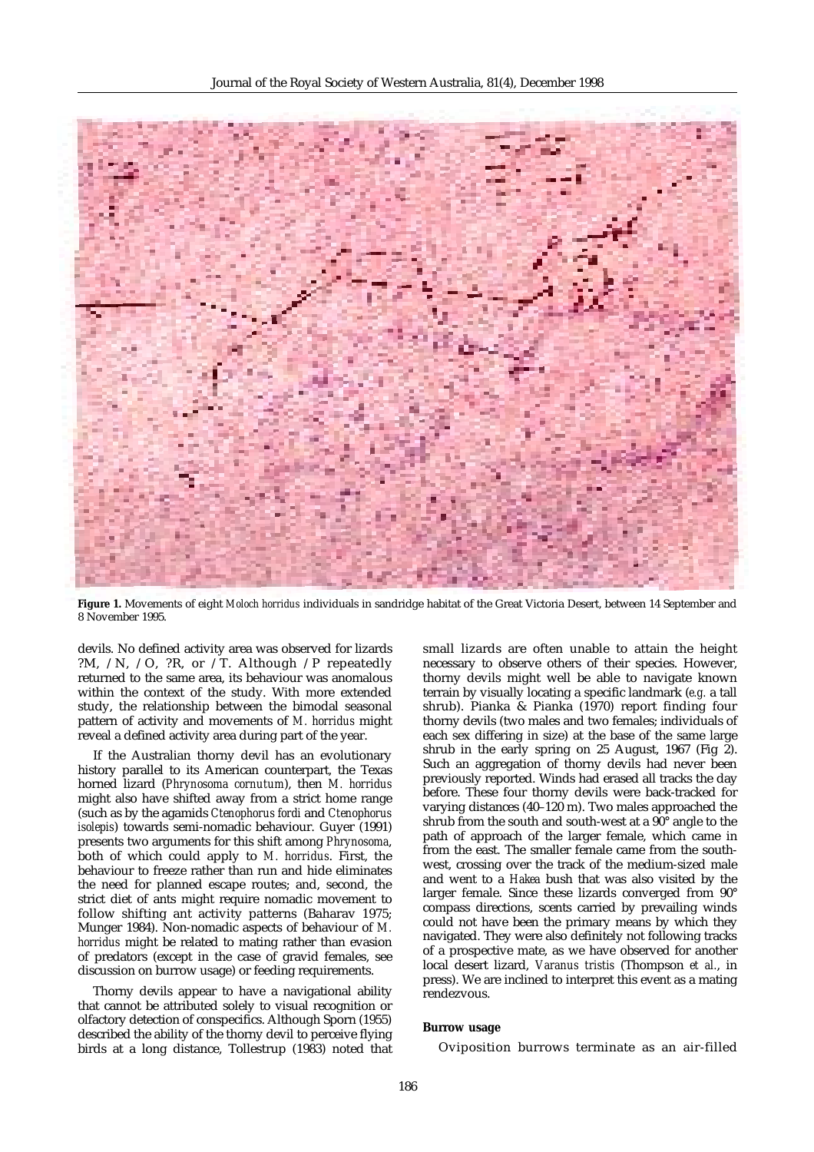

**Figure 1.** Movements of eight *Moloch horridus* individuals in sandridge habitat of the Great Victoria Desert, between 14 September and 8 November 1995.

devils. No defined activity area was observed for lizards ?M, /N, /O, ?R, or /T. Although /P repeatedly returned to the same area, its behaviour was anomalous within the context of the study. With more extended study, the relationship between the bimodal seasonal pattern of activity and movements of *M. horridus* might reveal a defined activity area during part of the year.

If the Australian thorny devil has an evolutionary history parallel to its American counterpart, the Texas horned lizard (*Phrynosoma cornutum*), then *M. horridus* might also have shifted away from a strict home range (such as by the agamids *Ctenophorus fordi* and *Ctenophorus isolepis*) towards semi-nomadic behaviour. Guyer (1991) presents two arguments for this shift among *Phrynosoma*, both of which could apply to *M. horridus*. First, the behaviour to freeze rather than run and hide eliminates the need for planned escape routes; and, second, the strict diet of ants might require nomadic movement to follow shifting ant activity patterns (Baharav 1975; Munger 1984). Non-nomadic aspects of behaviour of *M. horridus* might be related to mating rather than evasion of predators (except in the case of gravid females, see discussion on burrow usage) or feeding requirements.

Thorny devils appear to have a navigational ability that cannot be attributed solely to visual recognition or olfactory detection of conspecifics. Although Sporn (1955) described the ability of the thorny devil to perceive flying birds at a long distance, Tollestrup (1983) noted that small lizards are often unable to attain the height necessary to observe others of their species. However, thorny devils might well be able to navigate known terrain by visually locating a specific landmark (*e.g.* a tall shrub). Pianka & Pianka (1970) report finding four thorny devils (two males and two females; individuals of each sex differing in size) at the base of the same large shrub in the early spring on 25 August, 1967 (Fig 2). Such an aggregation of thorny devils had never been previously reported. Winds had erased all tracks the day before. These four thorny devils were back-tracked for varying distances (40–120 m). Two males approached the shrub from the south and south-west at a 90° angle to the path of approach of the larger female, which came in from the east. The smaller female came from the southwest, crossing over the track of the medium-sized male and went to a *Hakea* bush that was also visited by the larger female. Since these lizards converged from 90° compass directions, scents carried by prevailing winds could not have been the primary means by which they navigated. They were also definitely not following tracks of a prospective mate, as we have observed for another local desert lizard, *Varanus tristis* (Thompson *et al.*, in press). We are inclined to interpret this event as a mating rendezvous.

### **Burrow usage**

Oviposition burrows terminate as an air-filled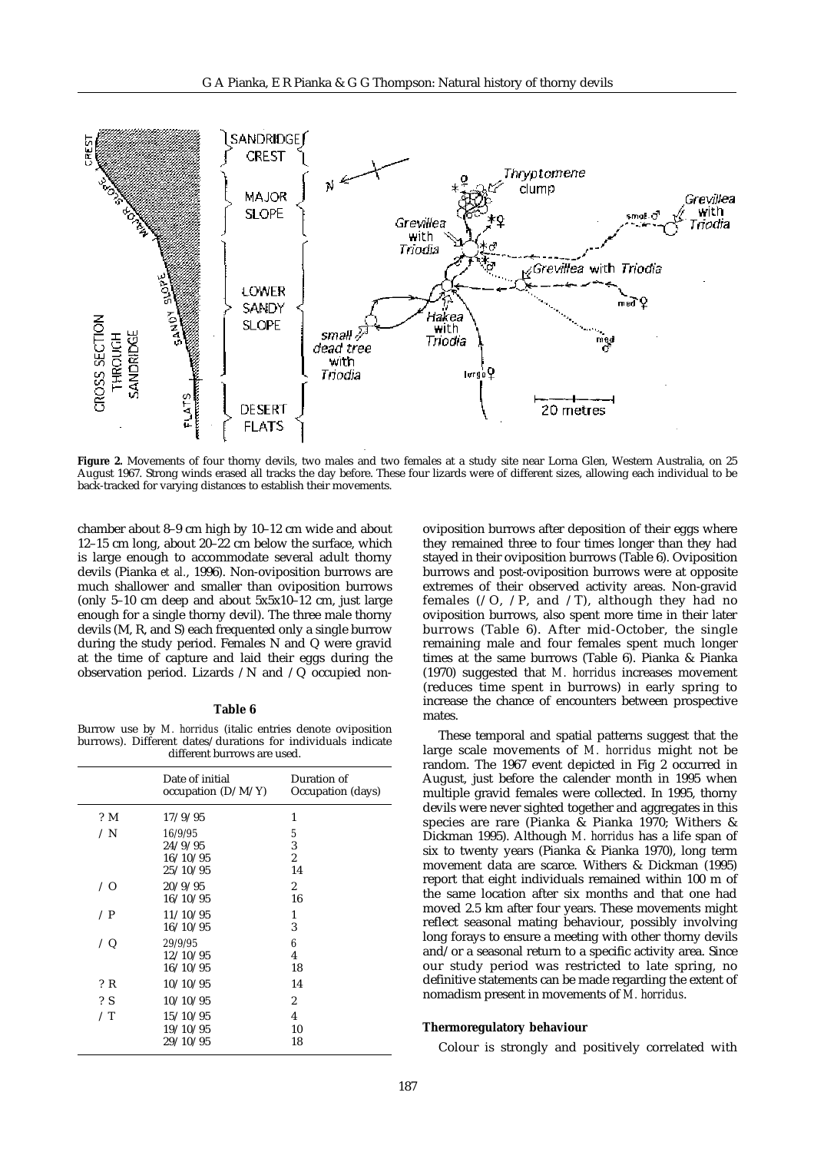

**Figure 2.** Movements of four thorny devils, two males and two females at a study site near Lorna Glen, Western Australia, on 25 August 1967. Strong winds erased all tracks the day before. These four lizards were of different sizes, allowing each individual to be back-tracked for varying distances to establish their movements.

chamber about 8–9 cm high by 10–12 cm wide and about 12–15 cm long, about 20–22 cm below the surface, which is large enough to accommodate several adult thorny devils (Pianka *et al.*, 1996). Non-oviposition burrows are much shallower and smaller than oviposition burrows (only 5–10 cm deep and about 5x5x10–12 cm, just large enough for a single thorny devil). The three male thorny devils (M, R, and S) each frequented only a single burrow during the study period. Females N and Q were gravid at the time of capture and laid their eggs during the observation period. Lizards /N and /Q occupied non-

# **Table 6**

Burrow use by *M. horridus* (italic entries denote oviposition burrows). Different dates/durations for individuals indicate different burrows are used.

|            | Date of initial<br>occupation $(D/M/Y)$ | Duration of<br>Occupation (days) |
|------------|-----------------------------------------|----------------------------------|
| ?M         | 17/9/95                                 | 1                                |
| $\angle N$ | 16/9/95<br>24/9/95                      | 5<br>3                           |
|            | 16/10/95<br>25/10/95                    | $\overline{2}$<br>14             |
| $\angle$ O | 20/9/95<br>16/10/95                     | $\overline{c}$<br>16             |
| $\angle P$ | 11/10/95<br>16/10/95                    | 1<br>3                           |
| / Q        | 29/9/95<br>12/10/95<br>16/10/95         | 6<br>4<br>18                     |
| ? R        | 10/10/95                                | 14                               |
| ? S        | 10/10/95                                | 2                                |
| / T        | 15/10/95<br>19/10/95<br>29/10/95        | 4<br>10<br>18                    |

oviposition burrows after deposition of their eggs where they remained three to four times longer than they had stayed in their oviposition burrows (Table 6). Oviposition burrows and post-oviposition burrows were at opposite extremes of their observed activity areas. Non-gravid females (/O, /P, and /T), although they had no oviposition burrows, also spent more time in their later burrows (Table 6). After mid-October, the single remaining male and four females spent much longer times at the same burrows (Table 6). Pianka & Pianka (1970) suggested that *M. horridus* increases movement (reduces time spent in burrows) in early spring to increase the chance of encounters between prospective mates.

These temporal and spatial patterns suggest that the large scale movements of *M. horridus* might not be random. The 1967 event depicted in Fig 2 occurred in August, just before the calender month in 1995 when multiple gravid females were collected. In 1995, thorny devils were never sighted together and aggregates in this species are rare (Pianka & Pianka 1970; Withers & Dickman 1995). Although *M. horridus* has a life span of six to twenty years (Pianka & Pianka 1970), long term movement data are scarce. Withers & Dickman (1995) report that eight individuals remained within 100 m of the same location after six months and that one had moved 2.5 km after four years. These movements might reflect seasonal mating behaviour, possibly involving long forays to ensure a meeting with other thorny devils and/or a seasonal return to a specific activity area. Since our study period was restricted to late spring, no definitive statements can be made regarding the extent of nomadism present in movements of *M. horridus*.

## **Thermoregulatory behaviour**

Colour is strongly and positively correlated with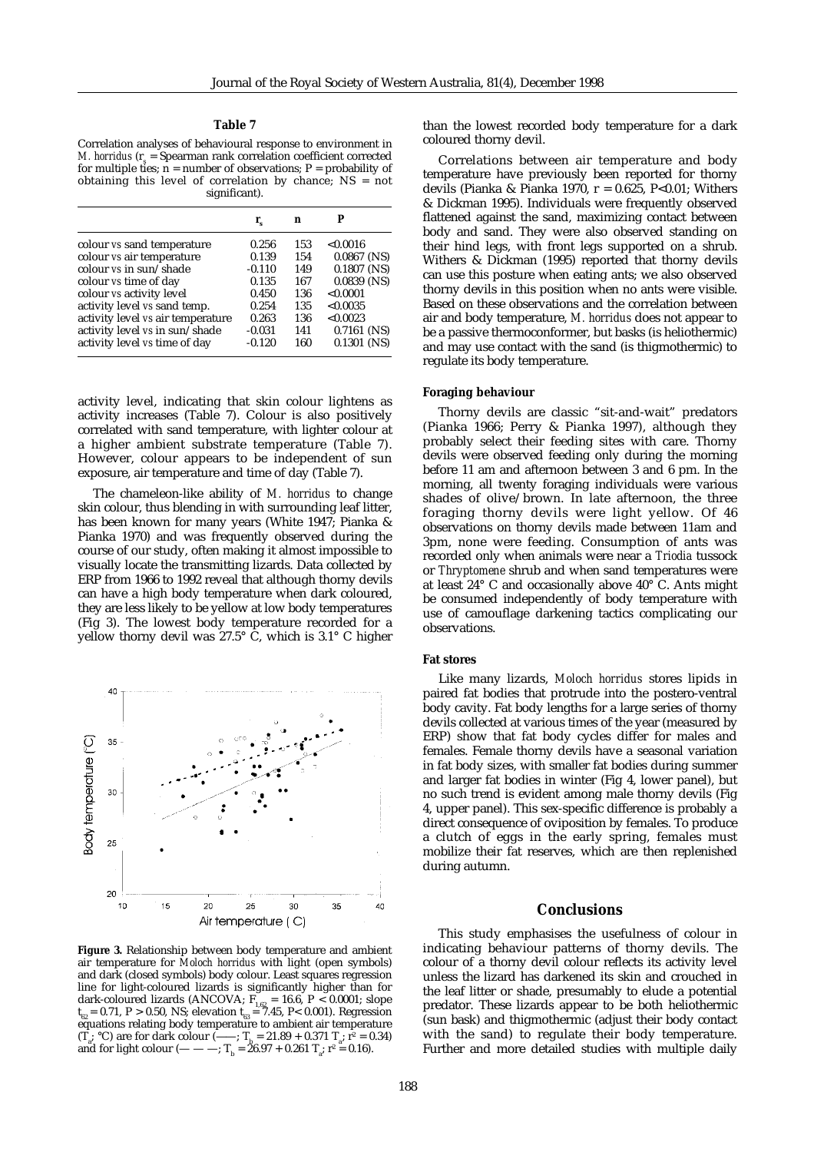#### **Table 7**

Correlation analyses of behavioural response to environment in *M. horridus* (r<sub>s</sub> = Spearman rank correlation coefficient corrected for multiple ties;  $n =$  number of observations;  $P =$  probability of obtaining this level of correlation by chance;  $NS = not$ significant).

|                                   | r.       | n   |               |
|-----------------------------------|----------|-----|---------------|
| colour <i>vs</i> sand temperature | 0.256    | 153 | < 0.0016      |
| colour vs air temperature         | 0.139    | 154 | $0.0867$ (NS) |
| colour vs in sun/shade            | $-0.110$ | 149 | $0.1807$ (NS) |
| colour vs time of day             | 0.135    | 167 | $0.0839$ (NS) |
| colour vs activity level          | 0.450    | 136 | < 0.0001      |
| activity level vs sand temp.      | 0.254    | 135 | < 0.0035      |
| activity level vs air temperature | 0.263    | 136 | < 0.0023      |
| activity level vs in sun/shade    | $-0.031$ | 141 | $0.7161$ (NS) |
| activity level vs time of day     | $-0.120$ | 160 | $0.1301$ (NS) |

activity level, indicating that skin colour lightens as activity increases (Table 7). Colour is also positively correlated with sand temperature, with lighter colour at a higher ambient substrate temperature (Table 7). However, colour appears to be independent of sun exposure, air temperature and time of day (Table 7).

The chameleon-like ability of *M. horridus* to change skin colour, thus blending in with surrounding leaf litter, has been known for many years (White 1947; Pianka & Pianka 1970) and was frequently observed during the course of our study, often making it almost impossible to visually locate the transmitting lizards. Data collected by ERP from 1966 to 1992 reveal that although thorny devils can have a high body temperature when dark coloured, they are less likely to be yellow at low body temperatures (Fig 3). The lowest body temperature recorded for a yellow thorny devil was 27.5° C, which is 3.1° C higher



**Figure 3.** Relationship between body temperature and ambient air temperature for *Moloch horridus* with light (open symbols) and dark (closed symbols) body colour. Least squares regression line for light-coloured lizards is significantly higher than for dark-coloured lizards (ANCOVA;  $F_{1,62} = 16.6$ , P < 0.0001; slope  $t_{62} = 0.71$ , P > 0.50, NS; elevation  $t_{63} = 7.45$ , P< 0.001). Regression equations relating body temperature to ambient air temperature  $(T_a, ^{\circ}C)$  are for dark colour (--;  $T_b = 21.89 + 0.371 T_a$ ;  $r^2 = 0.34$ ) and for light colour (— — —; T<sub>b</sub> = 26.97 + 0.261 T<sub>a</sub>; r<sup>2</sup> = 0.16).

than the lowest recorded body temperature for a dark coloured thorny devil.

Correlations between air temperature and body temperature have previously been reported for thorny devils (Pianka & Pianka 1970,  $r = 0.625$ , P<0.01; Withers & Dickman 1995). Individuals were frequently observed flattened against the sand, maximizing contact between body and sand. They were also observed standing on their hind legs, with front legs supported on a shrub. Withers & Dickman (1995) reported that thorny devils can use this posture when eating ants; we also observed thorny devils in this position when no ants were visible. Based on these observations and the correlation between air and body temperature, *M. horridus* does not appear to be a passive thermoconformer, but basks (is heliothermic) and may use contact with the sand (is thigmothermic) to regulate its body temperature.

## **Foraging behaviour**

Thorny devils are classic "sit-and-wait" predators (Pianka 1966; Perry & Pianka 1997), although they probably select their feeding sites with care. Thorny devils were observed feeding only during the morning before 11 am and afternoon between 3 and 6 pm. In the morning, all twenty foraging individuals were various shades of olive/brown. In late afternoon, the three foraging thorny devils were light yellow. Of 46 observations on thorny devils made between 11am and 3pm, none were feeding. Consumption of ants was recorded only when animals were near a *Triodia* tussock or *Thryptomene* shrub and when sand temperatures were at least 24° C and occasionally above 40° C. Ants might be consumed independently of body temperature with use of camouflage darkening tactics complicating our observations.

#### **Fat stores**

Like many lizards, *Moloch horridus* stores lipids in paired fat bodies that protrude into the postero-ventral body cavity. Fat body lengths for a large series of thorny devils collected at various times of the year (measured by ERP) show that fat body cycles differ for males and females. Female thorny devils have a seasonal variation in fat body sizes, with smaller fat bodies during summer and larger fat bodies in winter (Fig 4, lower panel), but no such trend is evident among male thorny devils (Fig 4, upper panel). This sex-specific difference is probably a direct consequence of oviposition by females. To produce a clutch of eggs in the early spring, females must mobilize their fat reserves, which are then replenished during autumn.

## **Conclusions**

This study emphasises the usefulness of colour in indicating behaviour patterns of thorny devils. The colour of a thorny devil colour reflects its activity level unless the lizard has darkened its skin and crouched in the leaf litter or shade, presumably to elude a potential predator. These lizards appear to be both heliothermic (sun bask) and thigmothermic (adjust their body contact with the sand) to regulate their body temperature. Further and more detailed studies with multiple daily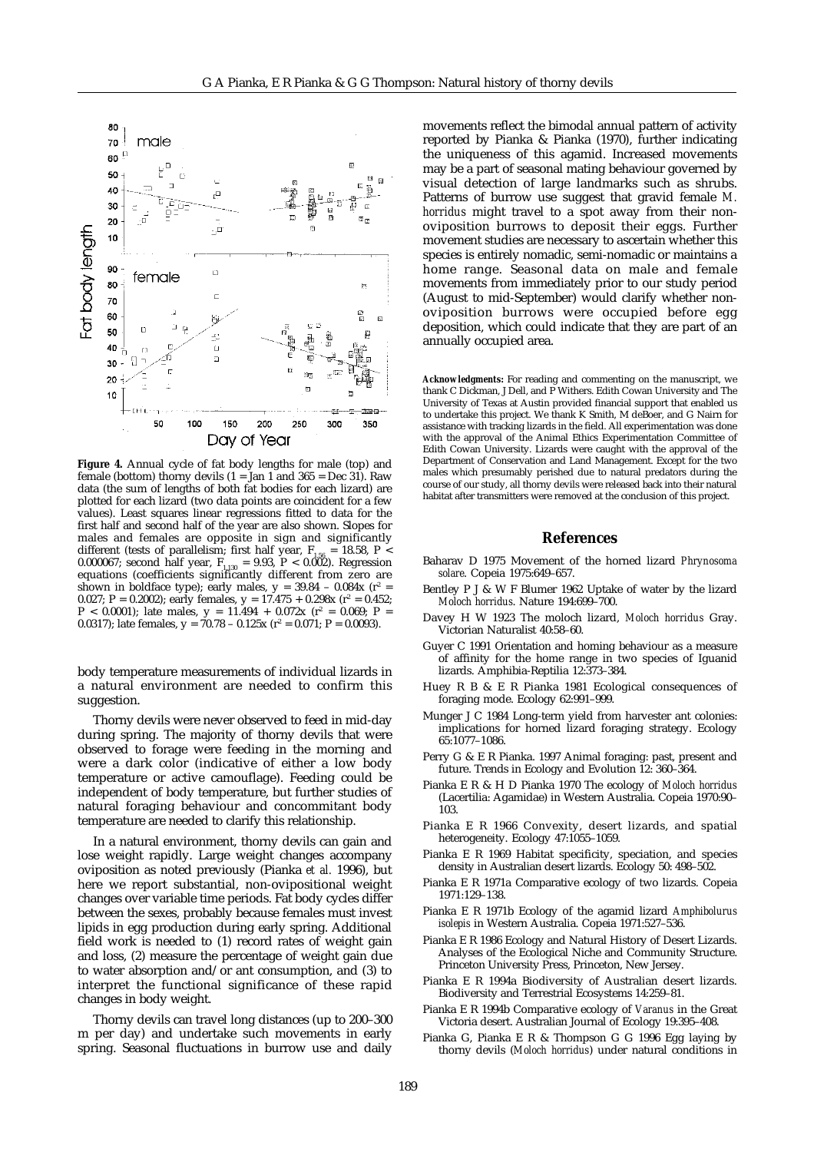

**Figure 4.** Annual cycle of fat body lengths for male (top) and female (bottom) thorny devils  $(1 – Jan 1 and 365 – Dec 31)$ . Raw data (the sum of lengths of both fat bodies for each lizard) are plotted for each lizard (two data points are coincident for a few values). Least squares linear regressions fitted to data for the first half and second half of the year are also shown. Slopes for males and females are opposite in sign and significantly different (tests of parallelism; first half year,  $F_{1,56} = 18.58$ , P < 0.000067; second half year, F<sub>1,130</sub> = 9.93, P < 0.002). Regression<br>equations (coefficients significantly different from zero are shown in boldface type); early males, y = 39.84 - 0.084x (r $^2$  = 0.027; P = 0.2002); early females, y = 17.475 + 0.298x (r $^2$  = 0.452; P < 0.0001); late males, y = 11.494 + 0.072x (r $^2$  = 0.069; P = 0.0317); late females, y = 70.78 – 0.125x (r² = 0.071; P = 0.0093).

body temperature measurements of individual lizards in a natural environment are needed to confirm this suggestion.

Thorny devils were never observed to feed in mid-day during spring. The majority of thorny devils that were observed to forage were feeding in the morning and were a dark color (indicative of either a low body temperature or active camouflage). Feeding could be independent of body temperature, but further studies of natural foraging behaviour and concommitant body temperature are needed to clarify this relationship.

In a natural environment, thorny devils can gain and lose weight rapidly. Large weight changes accompany oviposition as noted previously (Pianka *et al.* 1996), but here we report substantial, non-ovipositional weight changes over variable time periods. Fat body cycles differ between the sexes, probably because females must invest lipids in egg production during early spring. Additional field work is needed to (1) record rates of weight gain and loss, (2) measure the percentage of weight gain due to water absorption and/or ant consumption, and (3) to interpret the functional significance of these rapid changes in body weight.

Thorny devils can travel long distances (up to 200–300 m per day) and undertake such movements in early spring. Seasonal fluctuations in burrow use and daily movements reflect the bimodal annual pattern of activity reported by Pianka & Pianka (1970), further indicating the uniqueness of this agamid. Increased movements may be a part of seasonal mating behaviour governed by visual detection of large landmarks such as shrubs. Patterns of burrow use suggest that gravid female *M. horridus* might travel to a spot away from their nonoviposition burrows to deposit their eggs. Further movement studies are necessary to ascertain whether this species is entirely nomadic, semi-nomadic or maintains a home range. Seasonal data on male and female movements from immediately prior to our study period (August to mid-September) would clarify whether nonoviposition burrows were occupied before egg deposition, which could indicate that they are part of an annually occupied area.

*Acknowledgments***:** For reading and commenting on the manuscript, we thank C Dickman, J Dell, and P Withers. Edith Cowan University and The University of Texas at Austin provided financial support that enabled us to undertake this project. We thank K Smith, M deBoer, and G Nairn for assistance with tracking lizards in the field. All experimentation was done with the approval of the Animal Ethics Experimentation Committee of Edith Cowan University. Lizards were caught with the approval of the Department of Conservation and Land Management. Except for the two males which presumably perished due to natural predators during the course of our study, all thorny devils were released back into their natural habitat after transmitters were removed at the conclusion of this project.

#### **References**

- Baharav D 1975 Movement of the horned lizard *Phrynosoma solare*. Copeia 1975:649–657.
- Bentley P J & W F Blumer 1962 Uptake of water by the lizard *Moloch horridus*. Nature 194:699–700.
- Davey H W 1923 The moloch lizard, *Moloch horridus* Gray. Victorian Naturalist 40:58–60.
- Guyer C 1991 Orientation and homing behaviour as a measure of affinity for the home range in two species of Iguanid lizards. Amphibia-Reptilia 12:373–384.
- Huey R B & E R Pianka 1981 Ecological consequences of foraging mode. Ecology 62:991–999.
- Munger J C 1984 Long-term yield from harvester ant colonies: implications for horned lizard foraging strategy. Ecology 65:1077–1086.
- Perry G & E R Pianka. 1997 Animal foraging: past, present and future. Trends in Ecology and Evolution 12: 360–364.
- Pianka E R & H D Pianka 1970 The ecology of *Moloch horridus* (Lacertilia: Agamidae) in Western Australia. Copeia 1970:90– 103.
- Pianka E R 1966 Convexity, desert lizards, and spatial heterogeneity. Ecology 47:1055–1059.
- Pianka E R 1969 Habitat specificity, speciation, and species density in Australian desert lizards. Ecology 50: 498–502.
- Pianka E R 1971a Comparative ecology of two lizards. Copeia 1971:129–138.
- Pianka E R 1971b Ecology of the agamid lizard *Amphibolurus isolepis* in Western Australia. Copeia 1971:527–536.
- Pianka E R 1986 Ecology and Natural History of Desert Lizards. Analyses of the Ecological Niche and Community Structure. Princeton University Press, Princeton, New Jersey.
- Pianka E R 1994a Biodiversity of Australian desert lizards. Biodiversity and Terrestrial Ecosystems 14:259–81.
- Pianka E R 1994b Comparative ecology of *Varanus* in the Great Victoria desert. Australian Journal of Ecology 19:395-408.
- Pianka G, Pianka E R & Thompson G G 1996 Egg laying by thorny devils (*Moloch horridus*) under natural conditions in